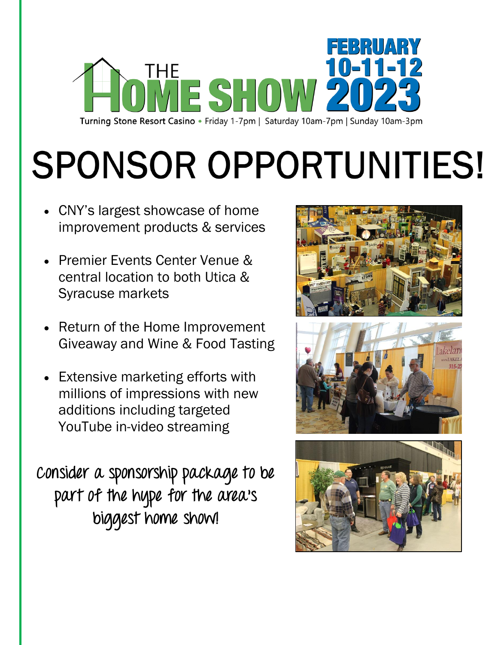

# **SPONSOR OPPORTUNITIES!**

- CNY's largest showcase of home improvement products & services
- Premier Events Center Venue & central location to both Utica & Syracuse markets
- Return of the Home Improvement Giveaway and Wine & Food Tasting
- Extensive marketing efforts with millions of impressions with new additions including targeted YouTube in-video streaming

**Consider a sponsorship package to be part of the hype for the area's biggest home show!**





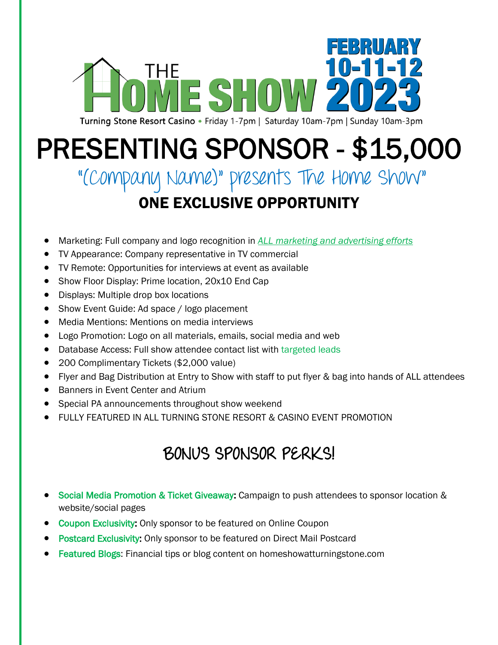

# PRESENTING SPONSOR - \$15,000

#### "(Company Name)" presents The Home Show" ONE EXCLUSIVE OPPORTUNITY

- Marketing: Full company and logo recognition in *ALL marketing and advertising efforts*
- TV Appearance: Company representative in TV commercial
- TV Remote: Opportunities for interviews at event as available
- Show Floor Display: Prime location, 20x10 End Cap
- Displays: Multiple drop box locations
- Show Event Guide: Ad space / logo placement
- Media Mentions: Mentions on media interviews
- Logo Promotion: Logo on all materials, emails, social media and web
- Database Access: Full show attendee contact list with targeted leads
- 200 Complimentary Tickets (\$2,000 value)
- Flyer and Bag Distribution at Entry to Show with staff to put flyer & bag into hands of ALL attendees
- Banners in Event Center and Atrium
- Special PA announcements throughout show weekend
- FULLY FEATURED IN ALL TURNING STONE RESORT & CASINO EVENT PROMOTION

#### **BONUS SPONSOR PERKS!**

- Social Media Promotion & Ticket Giveaway: Campaign to push attendees to sponsor location & website/social pages
- Coupon Exclusivity: Only sponsor to be featured on Online Coupon
- **Postcard Exclusivity: Only sponsor to be featured on Direct Mail Postcard**
- Featured Blogs: Financial tips or blog content on homeshowatturningstone.com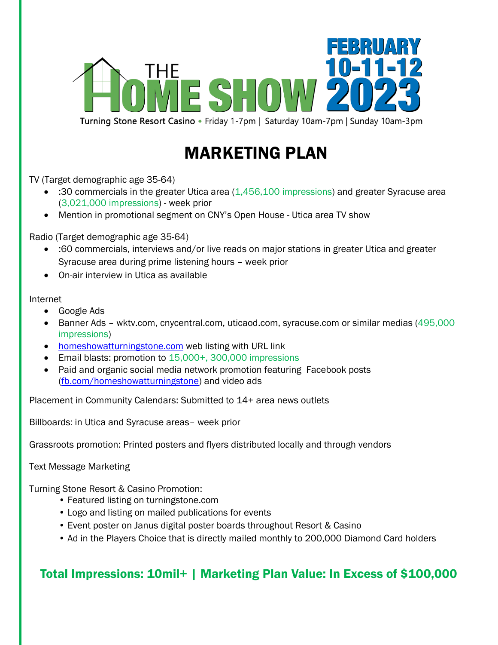

Turning Stone Resort Casino • Friday 1-7pm | Saturday 10am-7pm | Sunday 10am-3pm

#### MARKETING PLAN

TV (Target demographic age 35-64)

- :30 commercials in the greater Utica area (1,456,100 impressions) and greater Syracuse area (3,021,000 impressions) - week prior
- Mention in promotional segment on CNY's Open House Utica area TV show

Radio (Target demographic age 35-64)

- :60 commercials, interviews and/or live reads on major stations in greater Utica and greater Syracuse area during prime listening hours – week prior
- On-air interview in Utica as available

#### Internet

- Google Ads
- Banner Ads wktv.com, cnycentral.com, uticaod.com, syracuse.com or similar medias (495,000 impressions)
- [homeshowatturningstone.com](http://www.homeshowatturningstone.com/) web listing with URL link
- Email blasts: promotion to 15,000+, 300,000 impressions
- Paid and organic social media network promotion featuring Facebook posts [\(fb.com/homeshowatturningstone\)](http://www.facebook.com/homeshowatturningstone) and video ads

Placement in Community Calendars: Submitted to 14+ area news outlets

Billboards: in Utica and Syracuse areas– week prior

Grassroots promotion: Printed posters and flyers distributed locally and through vendors

Text Message Marketing

Turning Stone Resort & Casino Promotion:

- Featured listing on turningstone.com
- Logo and listing on mailed publications for events
- Event poster on Janus digital poster boards throughout Resort & Casino
- Ad in the Players Choice that is directly mailed monthly to 200,000 Diamond Card holders

#### Total Impressions: 10mil+ | Marketing Plan Value: In Excess of \$100,000